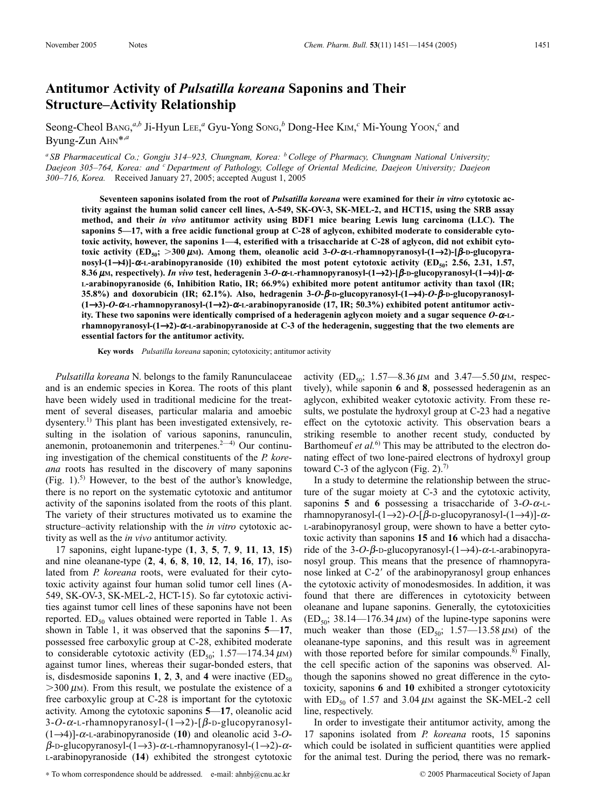## **Antitumor Activity of** *Pulsatilla koreana* **Saponins and Their Structure–Activity Relationship**

Seong-Cheol BANG,<sup>*a,b*</sup> Ji-Hyun LEE,<sup>*a*</sup> Gyu-Yong Song,<sup>*b*</sup> Dong-Hee KIM,<sup>*c*</sup> Mi-Young Yoon,<sup>*c*</sup> and Byung-Zun AHN\*,*<sup>a</sup>*

*<sup>a</sup> SB Pharmaceutical Co.; Gongju 314–923, Chungnam, Korea: bCollege of Pharmacy, Chungnam National University; Daejeon 305–764, Korea: and <sup>c</sup> Department of Pathology, College of Oriental Medicine, Daejeon University; Daejeon 300–716, Korea.* Received January 27, 2005; accepted August 1, 2005

**Seventeen saponins isolated from the root of** *Pulsatilla koreana* **were examined for their** *in vitro* **cytotoxic activity against the human solid cancer cell lines, A-549, SK-OV-3, SK-MEL-2, and HCT15, using the SRB assay method, and their** *in vivo* **antitumor activity using BDF1 mice bearing Lewis lung carcinoma (LLC). The saponins 5—17, with a free acidic functional group at C-28 of aglycon, exhibited moderate to considerable cytotoxic activity, however, the saponins 1—4, esterified with a trisaccharide at C-28 of aglycon, did not exhibit cytotoxic activity (ED<sub>50</sub>; >300** μm). Among them, oleanolic acid 3-*O*-α-L-rhamnopyranosyl-(1→2)-[β-D-glucopyranosyl-(1→4)]- $\alpha$ -L-arabinopyranoside (10) exhibited the most potent cytotoxic activity (ED<sub>50</sub>; 2.56, 2.31, 1.57, **8.36** m**M, respectively).** *In vivo* **test, hederagenin 3-***O***-**a**-L-rhamnopyranosyl-(1**→**2)-[**b**-D-glucopyranosyl-(1**→**4)]-**a**-L-arabinopyranoside (6, Inhibition Ratio, IR; 66.9%) exhibited more potent antitumor activity than taxol (IR; 35.8%) and doxorubicin (IR; 62.1%). Also, hedragenin 3-***O***-**b**-D-glucopyranosyl-(1**→**4)-***O***-**b**-D-glucopyranosyl- (1**→**3)-***O***-**a**-L-rhamnopyranosyl-(1**→**2)-**a**-L-arabinopyranoside (17, IR; 50.3%) exhibited potent antitumor activ**ity. These two saponins were identically comprised of a hederagenin aglycon moiety and a sugar sequence O- $\alpha$ -L**rhamnopyranosyl-(1**→**2)-**a**-L-arabinopyranoside at C-3 of the hederagenin, suggesting that the two elements are essential factors for the antitumor activity.**

**Key words** *Pulsatilla koreana* saponin; cytotoxicity; antitumor activity

*Pulsatilla koreana* N. belongs to the family Ranunculaceae and is an endemic species in Korea. The roots of this plant have been widely used in traditional medicine for the treatment of several diseases, particular malaria and amoebic dysentery.<sup>1)</sup> This plant has been investigated extensively, resulting in the isolation of various saponins, ranunculin, anemonin, protoanemonin and triterpenes. $2-4$ ) Our continuing investigation of the chemical constituents of the *P. koreana* roots has resulted in the discovery of many saponins (Fig. 1).<sup>5)</sup> However, to the best of the author's knowledge, there is no report on the systematic cytotoxic and antitumor activity of the saponins isolated from the roots of this plant. The variety of their structures motivated us to examine the structure–activity relationship with the *in vitro* cytotoxic activity as well as the *in vivo* antitumor activity.

17 saponins, eight lupane-type (**1**, **3**, **5**, **7**, **9**, **11**, **13**, **15**) and nine oleanane-type (**2**, **4**, **6**, **8**, **10**, **12**, **14**, **16**, **17**), isolated from *P. koreana* roots, were evaluated for their cytotoxic activity against four human solid tumor cell lines (A-549, SK-OV-3, SK-MEL-2, HCT-15). So far cytotoxic activities against tumor cell lines of these saponins have not been reported.  $ED_{50}$  values obtained were reported in Table 1. As shown in Table 1, it was observed that the saponins **5**—**17**, possessed free carboxylic group at C-28, exhibited moderate to considerable cytotoxic activity (ED<sub>50</sub>; 1.57-174.34  $\mu$ M) against tumor lines, whereas their sugar-bonded esters, that is, disdesmoside saponins **1**, **2**, **3**, and **4** were inactive ( $ED_{50}$  $>$ 300  $\mu$ M). From this result, we postulate the existence of a free carboxylic group at C-28 is important for the cytotoxic activity. Among the cytotoxic saponins **5**—**17**, oleanolic acid 3-*O*-a-L-rhamnopyranosyl-(1→2)-[b -D-glucopyranosyl-  $(1\rightarrow4)$ ]- $\alpha$ -L-arabinopyranoside (10) and oleanolic acid 3-*O*- $\beta$ -D-glucopyranosyl-(1→3)- $\alpha$ -L-rhamnopyranosyl-(1→2)- $\alpha$ -L-arabinopyranoside (**14**) exhibited the strongest cytotoxic

∗ To whom correspondence should be addressed. e-mail: ahnbj@cnu.ac.kr © 2005 Pharmaceutical Society of Japan

activity (ED<sub>50</sub>; 1.57—8.36  $\mu$ m and 3.47—5.50  $\mu$ m, respectively), while saponin **6** and **8**, possessed hederagenin as an aglycon, exhibited weaker cytotoxic activity. From these results, we postulate the hydroxyl group at C-23 had a negative effect on the cytotoxic activity. This observation bears a striking resemble to another recent study, conducted by Barthomeuf *et al.*<sup>6)</sup> This may be attributed to the electron donating effect of two lone-paired electrons of hydroxyl group toward C-3 of the aglycon (Fig. 2).<sup>7)</sup>

In a study to determine the relationship between the structure of the sugar moiety at C-3 and the cytotoxic activity, saponins **5** and **6** possessing a trisaccharide of  $3-O-A-L$ rhamnopyranosyl- $(1\rightarrow 2)$ -O-[ $\beta$ -D-glucopyranosyl- $(1\rightarrow 4)$ ]- $\alpha$ -L-arabinopyranosyl group, were shown to have a better cytotoxic activity than saponins **15** and **16** which had a disaccharide of the 3-*O*- $\beta$ -D-glucopyranosyl-(1→4)- $\alpha$ -L-arabinopyranosyl group. This means that the presence of rhamnopyranose linked at C-2' of the arabinopyranosyl group enhances the cytotoxic activity of monodesmosides. In addition, it was found that there are differences in cytotoxicity between oleanane and lupane saponins. Generally, the cytotoxicities  $(ED<sub>50</sub>; 38.14—176.34 \mu M)$  of the lupine-type saponins were much weaker than those  $(ED_{50}; 1.57-13.58 \mu)$  of the oleanane-type saponins, and this result was in agreement with those reported before for similar compounds.<sup>8)</sup> Finally, the cell specific action of the saponins was observed. Although the saponins showed no great difference in the cytotoxicity, saponins **6** and **10** exhibited a stronger cytotoxicity with  $ED_{50}$  of 1.57 and 3.04  $\mu$ M against the SK-MEL-2 cell line, respectively.

In order to investigate their antitumor activity, among the 17 saponins isolated from *P. koreana* roots, 15 saponins which could be isolated in sufficient quantities were applied for the animal test. During the period, there was no remark-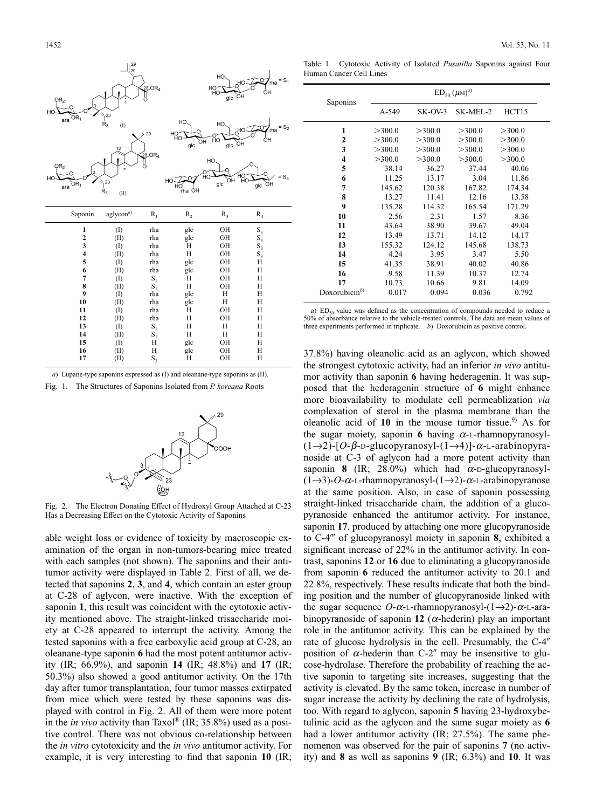| OR <sub>2</sub><br>HO   | $\begin{array}{c} 29 \\ 20 \end{array}$<br>Ê<br>$^{\frac{1}{2}}$ 23 | 28.OR <sub>4</sub>   |                      | HO.<br>HO<br>HO<br>`ОН<br>glc | $=S_1$<br>์rha<br>ÒН   |
|-------------------------|---------------------------------------------------------------------|----------------------|----------------------|-------------------------------|------------------------|
| OR <sub>1</sub><br>ara  | $\dot{\mathsf{R}}_3$<br>(1)                                         | $\sim 29$            | HO.<br>но<br>ОН      | HO.<br>НC                     | $S_2$                  |
|                         | 12                                                                  | $28$ OR <sub>4</sub> | ЮÍ<br>glc            | ĤО<br>ÒН<br>g/c               | ÒН                     |
| OR <sub>2</sub><br>HO   | â                                                                   | ő                    | $\frac{1}{10}$<br>HO | HO.<br>ЮÍ                     | ∽он<br>ОН<br>$S_3$     |
| OR <sub>1</sub><br>ara  | $\frac{1}{1}$ 23<br>$\mathsf{R}_3$<br>(II)                          |                      | HO<br>rha ÒH         | glc                           | $g/c$ $\widetilde{OH}$ |
| Saponin                 |                                                                     |                      |                      |                               |                        |
|                         | aglycon <sup>a</sup>                                                | $R_1$                | R <sub>2</sub>       | $R_3$                         | $R_4$                  |
| $\mathbf{1}$            |                                                                     | rha                  | glc                  | OH                            |                        |
| $\overline{\mathbf{c}}$ | (1)<br>(II)                                                         | rha                  | glc                  | OH                            |                        |
| 3                       | (1)                                                                 | rha                  | H                    | OH                            |                        |
| $\overline{\mathbf{4}}$ | (II)                                                                | rha                  | H                    | OH                            | $S_3S_3S_3S_3$         |
|                         | (1)                                                                 | rha                  | glc                  | OH                            | $\overline{H}$         |
| $\frac{5}{6}$           | (II)                                                                | rha                  | glc                  | OH                            | H                      |
| 7                       | (1)                                                                 | $S_1$                | Н                    | OH                            | H                      |
| 8                       | (II)                                                                | $S_1$                | H                    | OH                            | H                      |
| 9                       | (1)                                                                 | rha                  | glc                  | Н                             | Η                      |
| 10                      | (II)                                                                | rha                  | glc                  | Н                             | Η                      |
| 11                      | (1)                                                                 | rha                  | H                    | OH                            | H                      |
| 12                      | (II)                                                                | rha                  | Η                    | OH                            | H                      |
| 13                      | $\left( \mathrm{I}\right)$                                          | $\mathbf{S}_1$       | Η                    | Н                             | Η                      |
| 14                      | (II)                                                                | $S_1$                | H                    | Н                             | H                      |
| 15<br>16                | (1)<br>(II)                                                         | H<br>H               | glc<br>glc           | OH<br>OH                      | H<br>Η                 |

*a*) Lupane-type saponins expressed as (I) and oleanane-type saponins as (II).

Fig. 1. The Structures of Saponins Isolated from *P. koreana* Roots



Fig. 2. The Electron Donating Effect of Hydroxyl Group Attached at C-23 Has a Decreasing Effect on the Cytotoxic Activity of Saponins

able weight loss or evidence of toxicity by macroscopic examination of the organ in non-tumors-bearing mice treated with each samples (not shown). The saponins and their antitumor activity were displayed in Table 2. First of all, we detected that saponins **2**, **3**, and **4**, which contain an ester group at C-28 of aglycon, were inactive. With the exception of saponin **1**, this result was coincident with the cytotoxic activity mentioned above. The straight-linked trisaccharide moiety at C-28 appeared to interrupt the activity. Among the tested saponins with a free carboxylic acid group at C-28, an oleanane-type saponin **6** had the most potent antitumor activity (IR; 66.9%), and saponin **14** (IR; 48.8%) and **17** (IR; 50.3%) also showed a good antitumor activity. On the 17th day after tumor transplantation, four tumor masses extirpated from mice which were tested by these saponins was displayed with control in Fig. 2. All of them were more potent in the *in vivo* activity than Taxol® (IR; 35.8%) used as a positive control. There was not obvious co-relationship between the *in vitro* cytotoxicity and the *in vivo* antitumor activity. For example, it is very interesting to find that saponin **10** (IR;

Table 1. Cytotoxic Activity of Isolated *Pusatilla* Saponins against Four Human Cancer Cell Lines

| Saponins                | $ED_{50} (\mu M)^{a}$ |         |          |        |  |
|-------------------------|-----------------------|---------|----------|--------|--|
|                         | A-549                 | SK-OV-3 | SK-MEL-2 | HCT15  |  |
| 1                       | >300.0                | >300.0  | >300.0   | >300.0 |  |
| $\mathbf{2}$            | >300.0                | >300.0  | >300.0   | >300.0 |  |
| 3                       | >300.0                | >300.0  | >300.0   | >300.0 |  |
| $\overline{\mathbf{4}}$ | >300.0                | >300.0  | >300.0   | >300.0 |  |
| 5                       | 38.14                 | 36.27   | 37.44    | 40.06  |  |
| 6                       | 11.25                 | 13.17   | 3.04     | 11.86  |  |
| 7                       | 145.62                | 120.38  | 167.82   | 174.34 |  |
| 8                       | 13.27                 | 11.41   | 12.16    | 13.58  |  |
| 9                       | 135.28                | 114.32  | 165.54   | 171.29 |  |
| 10                      | 2.56                  | 2.31    | 1.57     | 8.36   |  |
| 11                      | 43.64                 | 38.90   | 39.67    | 49.04  |  |
| 12                      | 13.49                 | 13.71   | 14.12    | 14.17  |  |
| 13                      | 155.32                | 124.12  | 145.68   | 138.73 |  |
| 14                      | 4.24                  | 3.95    | 3.47     | 5.50   |  |
| 15                      | 41.35                 | 38.91   | 40.02    | 40.86  |  |
| 16                      | 9.58                  | 11.39   | 10.37    | 12.74  |  |
| 17                      | 10.73                 | 10.66   | 9.81     | 14.09  |  |
| Doxorubicin $^{b)}$     | 0.017                 | 0.094   | 0.036    | 0.792  |  |

*a*)  $ED_{50}$  value was defined as the concentration of compounds needed to reduce a 50% of absorbance relative to the vehicle-treated controls. The data are mean values of three experiments performed in triplicate. *b*) Doxorubicin as positive control.

37.8%) having oleanolic acid as an aglycon, which showed the strongest cytotoxic activity, had an inferior *in vivo* antitumor activity than saponin **6** having hederagenin. It was supposed that the hederagenin structure of **6** might enhance more bioavailability to modulate cell permeablization *via* complexation of sterol in the plasma membrane than the oleanolic acid of 10 in the mouse tumor tissue.<sup>9)</sup> As for the sugar moiety, saponin **6** having  $\alpha$ -L-rhamnopyranosyl- $(1\rightarrow 2)$ -[O- $\beta$ -D-glucopyranosyl- $(1\rightarrow 4)$ ]- $\alpha$ -L-arabinopyranoside at C-3 of aglycon had a more potent activity than saponin **8** (IR; 28.0%) which had  $\alpha$ -D-glucopyranosyl- $(1\rightarrow 3)$ -O- $\alpha$ -L-rhamnopyranosyl- $(1\rightarrow 2)$ - $\alpha$ -L-arabinopyranose at the same position. Also, in case of saponin possessing straight-linked trisaccharide chain, the addition of a glucopyranoside enhanced the antitumor activity. For instance, saponin **17**, produced by attaching one more glucopyranoside to C-4<sup>"'</sup> of glucopyranosyl moiety in saponin **8**, exhibited a significant increase of 22% in the antitumor activity. In contrast, saponins **12** or **16** due to eliminating a glucopyranoside from saponin **6** reduced the antitumor activity to 20.1 and 22.8%, respectively. These results indicate that both the binding position and the number of glucopyranoside linked with the sugar sequence  $O$ - $\alpha$ -L-rhamnopyranosyl- $(1\rightarrow 2)$ - $\alpha$ -L-arabinopyranoside of saponin 12 ( $\alpha$ -hederin) play an important role in the antitumor activity. This can be explained by the rate of glucose hydrolysis in the cell. Presumably, the C-4 position of  $\alpha$ -hederin than C-2" may be insensitive to glucose-hydrolase. Therefore the probability of reaching the active saponin to targeting site increases, suggesting that the activity is elevated. By the same token, increase in number of sugar increase the activity by declining the rate of hydrolysis, too. With regard to aglycon, saponin **5** having 23-hydroxybetulinic acid as the aglycon and the same sugar moiety as **6** had a lower antitumor activity (IR; 27.5%). The same phenomenon was observed for the pair of saponins **7** (no activity) and **8** as well as saponins **9** (IR; 6.3%) and **10**. It was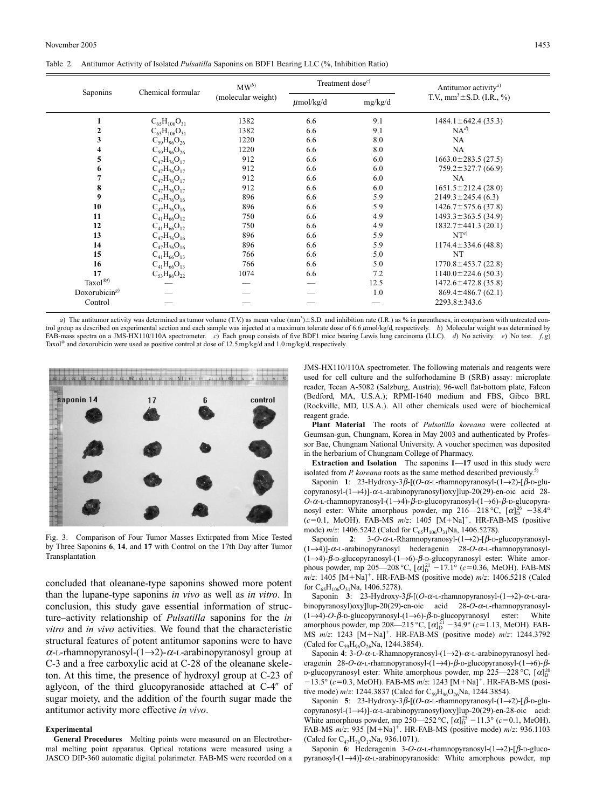|  | Table 2. Antitumor Activity of Isolated <i>Pulsatilla</i> Saponins on BDF1 Bearing LLC (%, Inhibition Ratio) |  |  |
|--|--------------------------------------------------------------------------------------------------------------|--|--|
|  |                                                                                                              |  |  |

| Saponins              | Chemical formular     | $MW^{b}$<br>(molecular weight) | Treatment dose $c$ ) |         | Antitumor activity <sup><i>a</i>)</sup> |
|-----------------------|-----------------------|--------------------------------|----------------------|---------|-----------------------------------------|
|                       |                       |                                | $\mu$ mol/kg/d       | mg/kg/d | T.V., $mm^3 \pm S.D.$ (I.R., %)         |
|                       | $C_{65}H_{106}O_{31}$ | 1382                           | 6.6                  | 9.1     | $1484.1 \pm 642.4$ (35.3)               |
| 2                     | $C_{65}H_{106}O_{31}$ | 1382                           | 6.6                  | 9.1     | $NA^{d}$                                |
| 3                     | $C_{59}H_{96}O_{26}$  | 1220                           | 6.6                  | 8.0     | NA                                      |
| 4                     | $C_{59}H_{96}O_{26}$  | 1220                           | 6.6                  | 8.0     | <b>NA</b>                               |
| 5                     | $C_{47}H_{76}O_{17}$  | 912                            | 6.6                  | 6.0     | $1663.0 \pm 283.5(27.5)$                |
| 6                     | $C_{47}H_{76}O_{17}$  | 912                            | 6.6                  | 6.0     | $759.2 \pm 327.7$ (66.9)                |
|                       | $C_{47}H_{76}O_{17}$  | 912                            | 6.6                  | 6.0     | NA                                      |
| 8                     | $C_{47}H_{76}O_{17}$  | 912                            | 6.6                  | 6.0     | $1651.5 \pm 212.4(28.0)$                |
| 9                     | $C_{47}H_{76}O_{16}$  | 896                            | 6.6                  | 5.9     | $2149.3 \pm 245.4$ (6.3)                |
| 10                    | $C_{47}H_{76}O_{16}$  | 896                            | 6.6                  | 5.9     | $1426.7 \pm 575.6$ (37.8)               |
| 11                    | $C_{41}H_{66}O_{12}$  | 750                            | 6.6                  | 4.9     | $1493.3 \pm 363.5$ (34.9)               |
| 12                    | $C_{41}H_{66}O_{12}$  | 750                            | 6.6                  | 4.9     | $1832.7 \pm 441.3$ (20.1)               |
| 13                    | $C_{47}H_{76}O_{16}$  | 896                            | 6.6                  | 5.9     | $NT^{e}$                                |
| 14                    | $C_{47}H_{76}O_{16}$  | 896                            | 6.6                  | 5.9     | $1174.4 \pm 334.6$ (48.8)               |
| 15                    | $C_{41}H_{66}O_{13}$  | 766                            | 6.6                  | 5.0     | NT                                      |
| 16                    | $C_{41}H_{66}O_{13}$  | 766                            | 6.6                  | 5.0     | $1770.8 \pm 453.7$ (22.8)               |
| 17                    | $C_{53}H_{86}O_{22}$  | 1074                           | 6.6                  | 7.2     | $1140.0 \pm 224.6(50.3)$                |
| $Taxol^{\circledRf)}$ |                       |                                |                      | 12.5    | $1472.6 \pm 472.8$ (35.8)               |
| Doxorubicin $s$ )     |                       |                                |                      | 1.0     | $869.4 \pm 486.7(62.1)$                 |
| Control               |                       |                                |                      |         | $2293.8 \pm 343.6$                      |

*a*) The antitumor activity was determined as tumor volume (T.V.) as mean value  $(mm<sup>3</sup>) \pm S.D.$  and inhibition rate (I.R.) as % in parentheses, in comparison with untreated control group as described on experimental section and each sample was injected at a maximum tolerate dose of 6.6 µmol/kg/d, respectively. *b*) Molecular weight was determined by FAB-mass spectra on a JMS-HX110/110A spectrometer. *c*) Each group consists of five BDF1 mice bearing Lewis lung carcinoma (LLC). *d*) No activity. *e*) No test. *f*, *g*) Taxol® and doxorubicin were used as positive control at dose of 12.5 mg/kg/d and 1.0 mg/kg/d, respectively.



Fig. 3. Comparison of Four Tumor Masses Extirpated from Mice Tested by Three Saponins **6**, **14**, and **17** with Control on the 17th Day after Tumor Transplantation

concluded that oleanane-type saponins showed more potent than the lupane-type saponins *in vivo* as well as *in vitro*. In conclusion, this study gave essential information of structure–activity relationship of *Pulsatilla* saponins for the *in vitro* and *in vivo* activities. We found that the characteristic structural features of potent antitumor saponins were to have  $\alpha$ -L-rhamnopyranosyl-(1→2)- $\alpha$ -L-arabinopyranosyl group at C-3 and a free carboxylic acid at C-28 of the oleanane skeleton. At this time, the presence of hydroxyl group at C-23 of aglycon, of the third glucopyranoside attached at  $C-4$  of sugar moiety, and the addition of the fourth sugar made the antitumor activity more effective *in vivo*.

## **Experimental**

**General Procedures** Melting points were measured on an Electrothermal melting point apparatus. Optical rotations were measured using a JASCO DIP-360 automatic digital polarimeter. FAB-MS were recorded on a JMS-HX110/110A spectrometer. The following materials and reagents were used for cell culture and the sulforhodamine B (SRB) assay: microplate reader, Tecan A-5082 (Salzburg, Austria); 96-well flat-bottom plate, Falcon (Bedford, MA, U.S.A.); RPMI-1640 medium and FBS, Gibco BRL (Rockville, MD, U.S.A.). All other chemicals used were of biochemical reagent grade.

**Plant Material** The roots of *Pulsatilla koreana* were collected at Geumsan-gun, Chungnam, Korea in May 2003 and authenticated by Professor Bae, Chungnam National University. A voucher specimen was deposited in the herbarium of Chungnam College of Pharmacy.

**Extraction and Isolation** The saponins **1**—**17** used in this study were isolated from *P. koreana* roots as the same method described previously.<sup>5)</sup>

Saponin **1**: 23-Hydroxy-3b-[(*O*-a-L-rhamnopyranosyl-(1→2)-[b-D-glucopyranosyl-(1→4)]-a-L-arabinopyranosyl)oxy]lup-20(29)-en-oic acid 28- *O*-α-L-rhamnopyranosyl-(1→4)-β-D-glucopyranosyl-(1→6)-β-D-glucopyranosyl ester: White amorphous powder, mp  $216-218 \degree C$ ,  $[\alpha]_D^{26}$  -38.4°  $(c=0.1, \text{ MeOH})$ . FAB-MS  $m/z$ : 1405  $[M+Na]^+$ . HR-FAB-MS (positive mode)  $m/z$ : 1406.5242 (Calcd for  $C_{65}H_{106}O_{31}Na$ , 1406.5278).

Saponin **2**:  $3-O-\alpha$ -L-Rhamnopyranosyl- $(1\rightarrow 2)$ -[ $\beta$ -D-glucopyranosyl-(1→4)]-a-L-arabinopyranosyl hederagenin 28-*O*-a-L-rhamnopyranosyl-  $(1\rightarrow4)$ - $\beta$ -D-glucopyranosyl- $(1\rightarrow6)$ - $\beta$ -D-glucopyranosyl ester: White amorphous powder, mp 205—208 °C,  $[\alpha]_D^{21}$  –17.1° (*c*=0.36, MeOH). FAB-MS  $m/z$ : 1405 [M+Na]<sup>+</sup>. HR-FAB-MS (positive mode)  $m/z$ : 1406.5218 (Calcd for  $C_{65}H_{106}O_{31}$ Na, 1406.5278).

Saponin **3**: 23-Hydroxy-3 $\beta$ -[( $O$ - $\alpha$ -L-rhamnopyranosyl-(1→2)- $\alpha$ -L-arabinopyranosyl)oxy]lup-20(29)-en-oic acid 28-*O*-a-L-rhamnopyranosyl- (1→4)-*O*-b-D-glucopyranosyl-(1→6)-b-D-glucopyranosyl ester: White amorphous powder, mp 208—215 °C,  $[\alpha]_D^{21}$  –34.9° (*c*=1.13, MeOH). FAB-MS  $m/z$ : 1243  $[M+\hat{N}a]^+$ . HR-FAB-MS (positive mode)  $m/z$ : 1244.3792 (Calcd for  $C_{59}H_{96}O_{26}Na$ , 1244.3854).

Saponin **4**: 3-*O*-a-L-Rhamnopyranosyl-(1→2)-a-L-arabinopyranosyl hederagenin 28-*O*-α-L-rhamnopyranosyl-(1→4)-β-D-glucopyranosyl-(1→6)-β- $D$ -glucopyranosyl ester: White amorphous powder, mp 225—228 °C,  $[\alpha]_D^{20}$  $-13.5^{\circ}$  ( $c=0.3$ , MeOH). FAB-MS  $m/z$ : 1243 [M+Na]<sup>+</sup>. HR-FAB-MS (positive mode)  $m/z$ : 1244.3837 (Calcd for C<sub>59</sub>H<sub>96</sub>O<sub>26</sub>Na, 1244.3854).

Saponin **5**: 23-Hydroxy-3 $\beta$ - $[$ (*O*- $\alpha$ -L-rhamnopyranosyl- $(1\rightarrow 2)$ - $[\beta$ -D-glucopyranosyl-(1→4)]-a-L-arabinopyranosyl)oxy]lup-20(29)-en-28-oic acid: White amorphous powder, mp 250—252 °C,  $[\alpha]_D^{25} - 11.3$ ° (*c*=0.1, MeOH). FAB-MS  $m/z$ : 935 [M+Na]<sup>+</sup>. HR-FAB-MS (positive mode)  $m/z$ : 936.1103 (Calcd for  $C_{47}H_{76}O_{17}Na$ , 936.1071).

Saponin **6**: Hederagenin  $3-O-α$ -L-rhamnopyranosyl- $(1\rightarrow 2)$ -[ $\beta$ -D-glucopyranosyl- $(1\rightarrow 4)$ ]- $\alpha$ -L-arabinopyranoside: White amorphous powder, mp